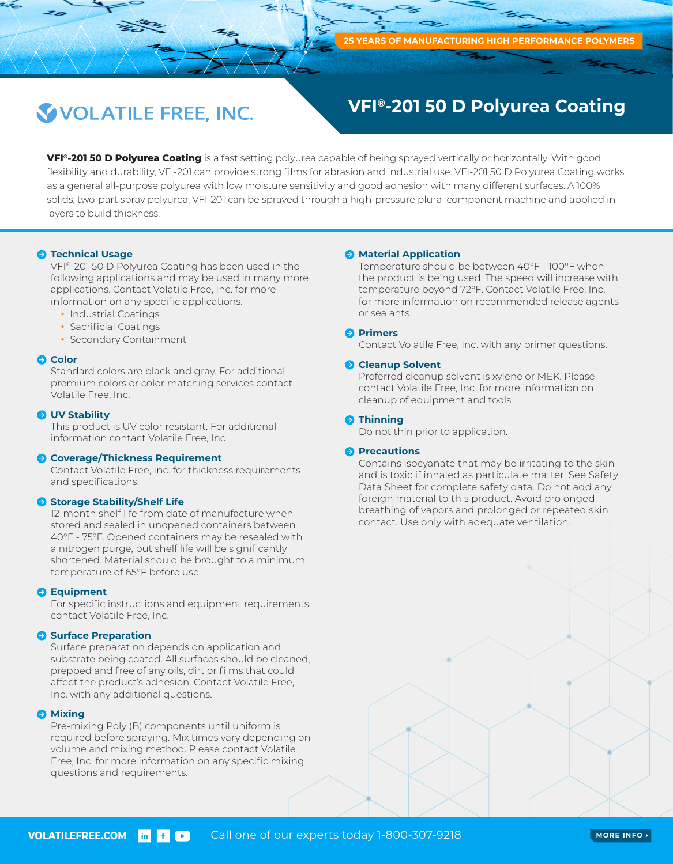# VOLATILE FREE, INC.

## **VFI®-201 50 D Polyurea Coating**

**VFI®-201 50 D Polyurea Coating** is a fast setting polyurea capable of being sprayed vertically or horizontally. With good flexibility and durability, VFI-201 can provide strong films for abrasion and industrial use. VFI-201 50 D Polyurea Coating works as a general all-purpose polyurea with low moisture sensitivity and good adhesion with many different surfaces. A 100% solids, two-part spray polyurea, VFI-201 can be sprayed through a high-pressure plural component machine and applied in layers to build thickness.

#### $\Theta$  **Technical Usage**

VFI®-201 50 D Polyurea Coating has been used in the following applications and may be used in many more applications. Contact Volatile Free, Inc. for more information on any specific applications.

- Industrial Coatings
- Sacrificial Coatings
- Secondary Containment

#### **Q** Color

Standard colors are black and gray. For additional premium colors or color matching services contact Volatile Free, Inc.

#### *O* UV Stability

This product is UV color resistant. For additional information contact Volatile Free, Inc.

#### **Coverage/Thickness Requirement**

Contact Volatile Free, Inc. for thickness requirements and specifications.

#### **Storage Stability/Shelf Life**

12-month shelf life from date of manufacture when stored and sealed in unopened containers between 40°F - 75°F. Opened containers may be resealed with a nitrogen purge, but shelf life will be significantly shortened. Material should be brought to a minimum temperature of 65°F before use.

#### **B** Equipment

For specific instructions and equipment requirements, contact Volatile Free, Inc.

#### **Surface Preparation**

Surface preparation depends on application and substrate being coated. All surfaces should be cleaned, prepped and free of any oils, dirt or films that could affect the product's adhesion. Contact Volatile Free, Inc. with any additional questions.

#### $\Theta$  Mixing

Pre-mixing Poly (B) components until uniform is required before spraying. Mix times vary depending on volume and mixing method. Please contact Volatile Free, Inc. for more information on any specific mixing questions and requirements.

#### **A** Material Application

Temperature should be between 40°F - 100°F when the product is being used. The speed will increase with temperature beyond 72°F. Contact Volatile Free, Inc. for more information on recommended release agents or sealants.

#### **Primers**

Contact Volatile Free, Inc. with any primer questions.

#### **Cleanup Solvent**

Preferred cleanup solvent is xylene or MEK. Please contact Volatile Free, Inc. for more information on cleanup of equipment and tools.

#### **O** Thinning

Do not thin prior to application.

#### **Precautions**

Contains isocyanate that may be irritating to the skin and is toxic if inhaled as particulate matter. See Safety Data Sheet for complete safety data. Do not add any foreign material to this product. Avoid prolonged breathing of vapors and prolonged or repeated skin contact. Use only with adequate ventilation.